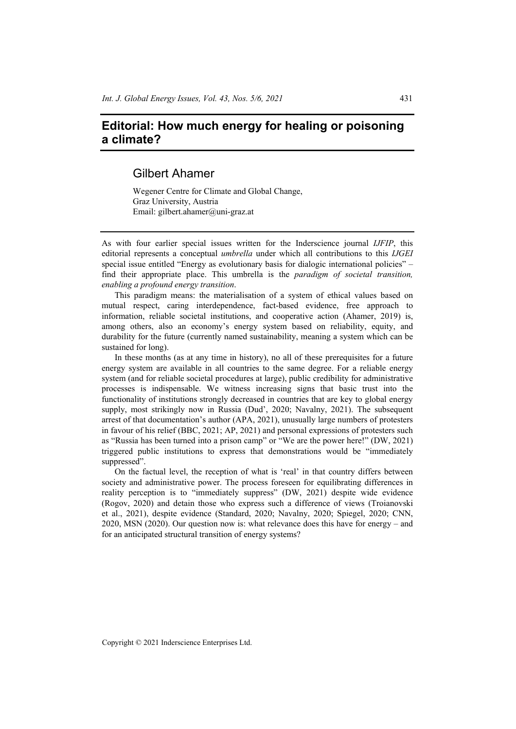## **Editorial: How much energy for healing or poisoning a climate?**

## Gilbert Ahamer

Wegener Centre for Climate and Global Change, Graz University, Austria Email: gilbert.ahamer@uni-graz.at

As with four earlier special issues written for the Inderscience journal *IJFIP*, this editorial represents a conceptual *umbrella* under which all contributions to this *IJGEI* special issue entitled "Energy as evolutionary basis for dialogic international policies" – find their appropriate place. This umbrella is the *paradigm of societal transition, enabling a profound energy transition*.

This paradigm means: the materialisation of a system of ethical values based on mutual respect, caring interdependence, fact-based evidence, free approach to information, reliable societal institutions, and cooperative action (Ahamer, 2019) is, among others, also an economy's energy system based on reliability, equity, and durability for the future (currently named sustainability, meaning a system which can be sustained for long).

In these months (as at any time in history), no all of these prerequisites for a future energy system are available in all countries to the same degree. For a reliable energy system (and for reliable societal procedures at large), public credibility for administrative processes is indispensable. We witness increasing signs that basic trust into the functionality of institutions strongly decreased in countries that are key to global energy supply, most strikingly now in Russia (Dud', 2020; Navalny, 2021). The subsequent arrest of that documentation's author (APA, 2021), unusually large numbers of protesters in favour of his relief (BBC, 2021; AP, 2021) and personal expressions of protesters such as "Russia has been turned into a prison camp" or "We are the power here!" (DW, 2021) triggered public institutions to express that demonstrations would be "immediately suppressed".

On the factual level, the reception of what is 'real' in that country differs between society and administrative power. The process foreseen for equilibrating differences in reality perception is to "immediately suppress" (DW, 2021) despite wide evidence (Rogov, 2020) and detain those who express such a difference of views (Troianovski et al., 2021), despite evidence (Standard, 2020; Navalny, 2020; Spiegel, 2020; CNN, 2020, MSN (2020). Our question now is: what relevance does this have for energy – and for an anticipated structural transition of energy systems?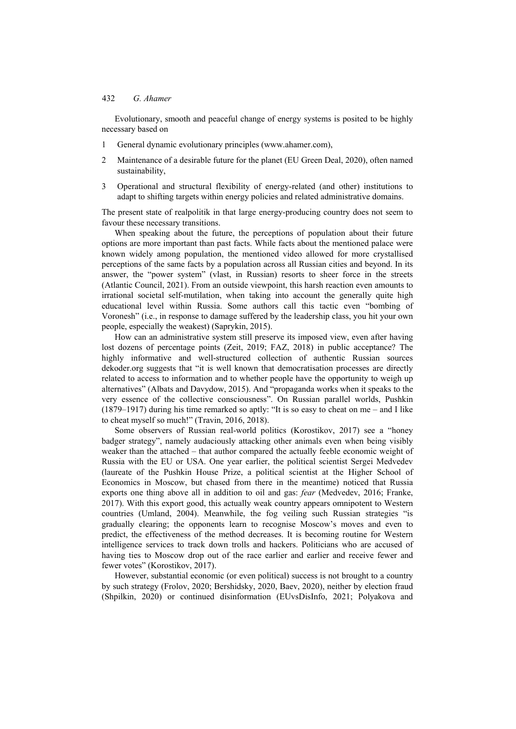Evolutionary, smooth and peaceful change of energy systems is posited to be highly necessary based on

- 1 General dynamic evolutionary principles (www.ahamer.com),
- 2 Maintenance of a desirable future for the planet (EU Green Deal, 2020), often named sustainability,
- 3 Operational and structural flexibility of energy-related (and other) institutions to adapt to shifting targets within energy policies and related administrative domains.

The present state of realpolitik in that large energy-producing country does not seem to favour these necessary transitions.

When speaking about the future, the perceptions of population about their future options are more important than past facts. While facts about the mentioned palace were known widely among population, the mentioned video allowed for more crystallised perceptions of the same facts by a population across all Russian cities and beyond. In its answer, the "power system" (vlast, in Russian) resorts to sheer force in the streets (Atlantic Council, 2021). From an outside viewpoint, this harsh reaction even amounts to irrational societal self-mutilation, when taking into account the generally quite high educational level within Russia. Some authors call this tactic even "bombing of Voronesh" (i.e., in response to damage suffered by the leadership class, you hit your own people, especially the weakest) (Saprykin, 2015).

How can an administrative system still preserve its imposed view, even after having lost dozens of percentage points (Zeit, 2019; FAZ, 2018) in public acceptance? The highly informative and well-structured collection of authentic Russian sources dekoder.org suggests that "it is well known that democratisation processes are directly related to access to information and to whether people have the opportunity to weigh up alternatives" (Albats and Davydow, 2015). And "propaganda works when it speaks to the very essence of the collective consciousness". On Russian parallel worlds, Pushkin (1879–1917) during his time remarked so aptly: "It is so easy to cheat on me – and I like to cheat myself so much!" (Travin, 2016, 2018).

Some observers of Russian real-world politics (Korostikov, 2017) see a "honey badger strategy", namely audaciously attacking other animals even when being visibly weaker than the attached – that author compared the actually feeble economic weight of Russia with the EU or USA. One year earlier, the political scientist Sergei Medvedev (laureate of the Pushkin House Prize, a political scientist at the Higher School of Economics in Moscow, but chased from there in the meantime) noticed that Russia exports one thing above all in addition to oil and gas: *fear* (Medvedev, 2016; Franke, 2017). With this export good, this actually weak country appears omnipotent to Western countries (Umland, 2004). Meanwhile, the fog veiling such Russian strategies "is gradually clearing; the opponents learn to recognise Moscow's moves and even to predict, the effectiveness of the method decreases. It is becoming routine for Western intelligence services to track down trolls and hackers. Politicians who are accused of having ties to Moscow drop out of the race earlier and earlier and receive fewer and fewer votes" (Korostikov, 2017).

However, substantial economic (or even political) success is not brought to a country by such strategy (Frolov, 2020; Bershidsky, 2020, Baev, 2020), neither by election fraud (Shpilkin, 2020) or continued disinformation (EUvsDisInfo, 2021; Polyakova and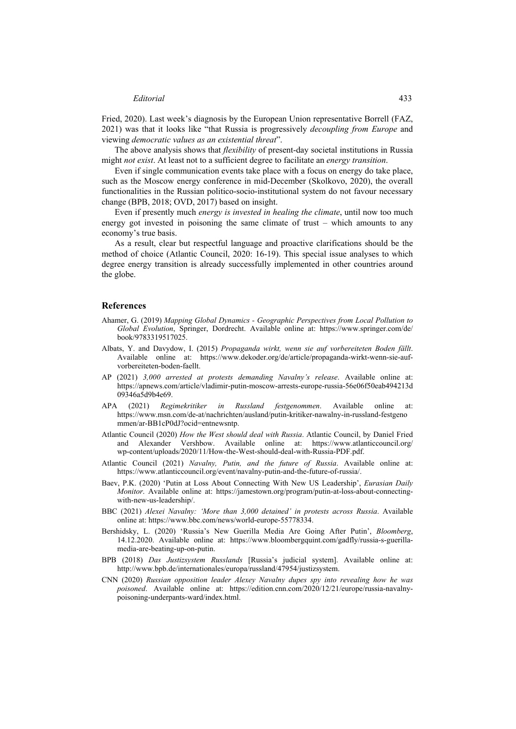## *Editorial* 433

Fried, 2020). Last week's diagnosis by the European Union representative Borrell (FAZ, 2021) was that it looks like "that Russia is progressively *decoupling from Europe* and viewing *democratic values as an existential threat*".

The above analysis shows that *flexibility* of present-day societal institutions in Russia might *not exist*. At least not to a sufficient degree to facilitate an *energy transition*.

Even if single communication events take place with a focus on energy do take place, such as the Moscow energy conference in mid-December (Skolkovo, 2020), the overall functionalities in the Russian politico-socio-institutional system do not favour necessary change (BPB, 2018; OVD, 2017) based on insight.

Even if presently much *energy is invested in healing the climate*, until now too much energy got invested in poisoning the same climate of trust – which amounts to any economy's true basis.

As a result, clear but respectful language and proactive clarifications should be the method of choice (Atlantic Council, 2020: 16-19). This special issue analyses to which degree energy transition is already successfully implemented in other countries around the globe.

## **References**

- Ahamer, G. (2019) *Mapping Global Dynamics Geographic Perspectives from Local Pollution to Global Evolution*, Springer, Dordrecht. Available online at: https://www.springer.com/de/ book/9783319517025.
- Albats, Y. and Davydow, I. (2015) *Propaganda wirkt, wenn sie auf vorbereiteten Boden fällt*. Available online at: https://www.dekoder.org/de/article/propaganda-wirkt-wenn-sie-aufvorbereiteten-boden-faellt.
- AP (2021) *3,000 arrested at protests demanding Navalny's release*. Available online at: https://apnews.com/article/vladimir-putin-moscow-arrests-europe-russia-56e06f50eab494213d 09346a5d9b4e69.
- APA (2021) *Regimekritiker in Russland festgenommen*. Available online at: https://www.msn.com/de-at/nachrichten/ausland/putin-kritiker-nawalny-in-russland-festgeno mmen/ar-BB1cP0dJ?ocid=entnewsntp.
- Atlantic Council (2020) *How the West should deal with Russia*. Atlantic Council, by Daniel Fried and Alexander Vershbow. Available online at: https://www.atlanticcouncil.org/ wp-content/uploads/2020/11/How-the-West-should-deal-with-Russia-PDF.pdf.
- Atlantic Council (2021) *Navalny, Putin, and the future of Russia*. Available online at: https://www.atlanticcouncil.org/event/navalny-putin-and-the-future-of-russia/.
- Baev, P.K. (2020) 'Putin at Loss About Connecting With New US Leadership', *Eurasian Daily Monitor*. Available online at: https://jamestown.org/program/putin-at-loss-about-connectingwith-new-us-leadership/.
- BBC (2021) *Alexei Navalny: 'More than 3,000 detained' in protests across Russia*. Available online at: https://www.bbc.com/news/world-europe-55778334.
- Bershidsky, L. (2020) 'Russia's New Guerilla Media Are Going After Putin', *Bloomberg*, 14.12.2020. Available online at: https://www.bloombergquint.com/gadfly/russia-s-guerillamedia-are-beating-up-on-putin.
- BPB (2018) *Das Justizsystem Russlands* [Russia's judicial system]. Available online at: http://www.bpb.de/internationales/europa/russland/47954/justizsystem.
- CNN (2020) *Russian opposition leader Alexey Navalny dupes spy into revealing how he was poisoned*. Available online at: https://edition.cnn.com/2020/12/21/europe/russia-navalnypoisoning-underpants-ward/index.html.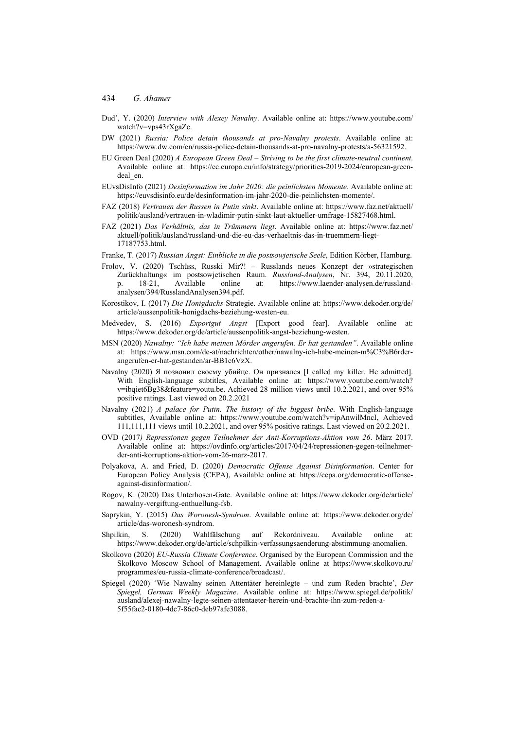- Dud', Y. (2020) *Interview with Alexey Navalny*. Available online at: https://www.youtube.com/ watch?v=vps43rXgaZc.
- DW (2021) *Russia: Police detain thousands at pro-Navalny protests*. Available online at: https://www.dw.com/en/russia-police-detain-thousands-at-pro-navalny-protests/a-56321592.
- EU Green Deal (2020) *A European Green Deal Striving to be the first climate-neutral continent*. Available online at: https://ec.europa.eu/info/strategy/priorities-2019-2024/european-greendeal\_en.
- EUvsDisInfo (2021) *Desinformation im Jahr 2020: die peinlichsten Momente*. Available online at: https://euvsdisinfo.eu/de/desinformation-im-jahr-2020-die-peinlichsten-momente/.
- FAZ (2018) *Vertrauen der Russen in Putin sinkt*. Available online at: https://www.faz.net/aktuell/ politik/ausland/vertrauen-in-wladimir-putin-sinkt-laut-aktueller-umfrage-15827468.html.
- FAZ (2021) *Das Verhältnis, das in Trümmern liegt*. Available online at: https://www.faz.net/ aktuell/politik/ausland/russland-und-die-eu-das-verhaeltnis-das-in-truemmern-liegt-17187753.html.
- Franke, T. (2017) *Russian Angst: Einblicke in die postsowjetische Seele*, Edition Körber, Hamburg.
- Frolov, V. (2020) Tschüss, Russki Mir?! Russlands neues Konzept der »strategischen Zurückhaltung« im postsowjetischen Raum. *Russland-Analysen*, Nr. 394, 20.11.2020, p. 18-21, Available online at: https://www.laender-analysen.de/russlandanalysen/394/RusslandAnalysen394.pdf.
- Korostikov, I. (2017) *Die Honigdachs-*Strategie. Available online at: https://www.dekoder.org/de/ article/aussenpolitik-honigdachs-beziehung-westen-eu.
- Medvedev, S. (2016) *Exportgut Angst* [Export good fear]. Available online at: https://www.dekoder.org/de/article/aussenpolitik-angst-beziehung-westen.
- MSN (2020) *Nawalny: "Ich habe meinen Mörder angerufen. Er hat gestanden"*. Available online at: https://www.msn.com/de-at/nachrichten/other/nawalny-ich-habe-meinen-m%C3%B6rderangerufen-er-hat-gestanden/ar-BB1c6VzX.
- Navalny (2020) Я позвонил своему убийце. Он признался [I called my killer. He admitted]. With English-language subtitles, Available online at: https://www.youtube.com/watch? v=ibqiet6Bg38&feature=youtu.be. Achieved 28 million views until 10.2.2021, and over 95% positive ratings. Last viewed on 20.2.2021
- Navalny (2021) *A palace for Putin. The history of the biggest bribe*. With English-language subtitles, Available online at: https://www.youtube.com/watch?v=ipAnwilMncI, Achieved 111,111,111 views until 10.2.2021, and over 95% positive ratings. Last viewed on 20.2.2021.
- OVD (2017*) Repressionen gegen Teilnehmer der Anti-Korruptions-Aktion vom 26*. März 2017. Available online at: https://ovdinfo.org/articles/2017/04/24/repressionen-gegen-teilnehmerder-anti-korruptions-aktion-vom-26-marz-2017.
- Polyakova, A. and Fried, D. (2020) *Democratic Offense Against Disinformation*. Center for European Policy Analysis (CEPA), Available online at: https://cepa.org/democratic-offenseagainst-disinformation/.
- Rogov, K. (2020) Das Unterhosen-Gate. Available online at: https://www.dekoder.org/de/article/ nawalny-vergiftung-enthuellung-fsb.
- Saprykin, Y. (2015) *Das Woronesh-Syndrom*. Available online at: https://www.dekoder.org/de/ article/das-woronesh-syndrom.
- Shpilkin, S. (2020) Wahlfälschung auf Rekordniveau. Available online at: https://www.dekoder.org/de/article/schpilkin-verfassungsaenderung-abstimmung-anomalien.
- Skolkovo (2020) *EU-Russia Climate Conference*. Organised by the European Commission and the Skolkovo Moscow School of Management. Available online at https://www.skolkovo.ru/ programmes/eu-russia-climate-conference/broadcast/.
- Spiegel (2020) 'Wie Nawalny seinen Attentäter hereinlegte und zum Reden brachte', *Der Spiegel, German Weekly Magazine*. Available online at: https://www.spiegel.de/politik/ ausland/alexej-nawalny-legte-seinen-attentaeter-herein-und-brachte-ihn-zum-reden-a-5f55fac2-0180-4dc7-86c0-deb97afe3088.